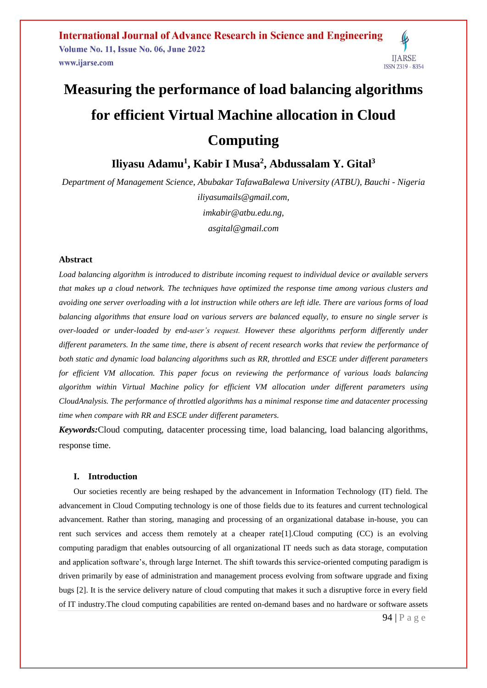# **Measuring the performance of load balancing algorithms for efficient Virtual Machine allocation in Cloud Computing**

**Iliyasu Adamu<sup>1</sup> , Kabir I Musa<sup>2</sup> , Abdussalam Y. Gital<sup>3</sup>**

*Department of Management Science, Abubakar TafawaBalewa University (ATBU), Bauchi - Nigeria [iliyasumails@gmail.com,](mailto:iliyasumails@gmail.com) [imkabir@atbu.edu.ng,](mailto:imkabir@atbu.edu.ng) asgital@gmail.com*

#### **Abstract**

*Load balancing algorithm is introduced to distribute incoming request to individual device or available servers that makes up a cloud network. The techniques have optimized the response time among various clusters and avoiding one server overloading with a lot instruction while others are left idle. There are various forms of load balancing algorithms that ensure load on various servers are balanced equally, to ensure no single server is over-loaded or under-loaded by end-user's request. However these algorithms perform differently under different parameters. In the same time, there is absent of recent research works that review the performance of both static and dynamic load balancing algorithms such as RR, throttled and ESCE under different parameters for efficient VM allocation. This paper focus on reviewing the performance of various loads balancing algorithm within Virtual Machine policy for efficient VM allocation under different parameters using CloudAnalysis. The performance of throttled algorithms has a minimal response time and datacenter processing time when compare with RR and ESCE under different parameters.* 

*Keywords:*Cloud computing, datacenter processing time, load balancing, load balancing algorithms, response time.

#### **I. Introduction**

Our societies recently are being reshaped by the advancement in Information Technology (IT) field. The advancement in Cloud Computing technology is one of those fields due to its features and current technological advancement. Rather than storing, managing and processing of an organizational database in-house, you can rent such services and access them remotely at a cheaper rate[1].Cloud computing (CC) is an evolving computing paradigm that enables outsourcing of all organizational IT needs such as data storage, computation and application software's, through large Internet. The shift towards this service-oriented computing paradigm is driven primarily by ease of administration and management process evolving from software upgrade and fixing bugs [2]. It is the service delivery nature of cloud computing that makes it such a disruptive force in every field of IT industry.The cloud computing capabilities are rented on-demand bases and no hardware or software assets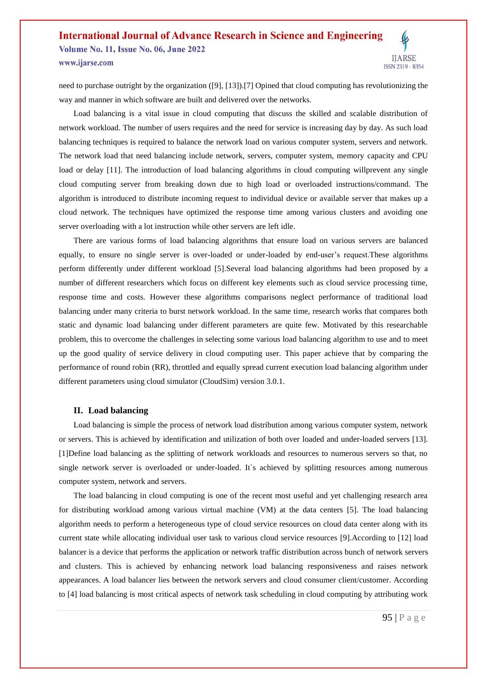need to purchase outright by the organization ([9], [13]).[7] Opined that cloud computing has revolutionizing the way and manner in which software are built and delivered over the networks.

Load balancing is a vital issue in cloud computing that discuss the skilled and scalable distribution of network workload. The number of users requires and the need for service is increasing day by day. As such load balancing techniques is required to balance the network load on various computer system, servers and network. The network load that need balancing include network, servers, computer system, memory capacity and CPU load or delay [11]. The introduction of load balancing algorithms in cloud computing willprevent any single cloud computing server from breaking down due to high load or overloaded instructions/command. The algorithm is introduced to distribute incoming request to individual device or available server that makes up a cloud network. The techniques have optimized the response time among various clusters and avoiding one server overloading with a lot instruction while other servers are left idle.

There are various forms of load balancing algorithms that ensure load on various servers are balanced equally, to ensure no single server is over-loaded or under-loaded by end-user's request.These algorithms perform differently under different workload [5].Several load balancing algorithms had been proposed by a number of different researchers which focus on different key elements such as cloud service processing time, response time and costs. However these algorithms comparisons neglect performance of traditional load balancing under many criteria to burst network workload. In the same time, research works that compares both static and dynamic load balancing under different parameters are quite few. Motivated by this researchable problem, this to overcome the challenges in selecting some various load balancing algorithm to use and to meet up the good quality of service delivery in cloud computing user. This paper achieve that by comparing the performance of round robin (RR), throttled and equally spread current execution load balancing algorithm under different parameters using cloud simulator (CloudSim) version 3.0.1.

#### **II. Load balancing**

Load balancing is simple the process of network load distribution among various computer system, network or servers. This is achieved by identification and utilization of both over loaded and under-loaded servers [13]. [1]Define load balancing as the splitting of network workloads and resources to numerous servers so that, no single network server is overloaded or under-loaded. It's achieved by splitting resources among numerous computer system, network and servers.

The load balancing in cloud computing is one of the recent most useful and yet challenging research area for distributing workload among various virtual machine (VM) at the data centers [5]. The load balancing algorithm needs to perform a heterogeneous type of cloud service resources on cloud data center along with its current state while allocating individual user task to various cloud service resources [9].According to [12] load balancer is a device that performs the application or network traffic distribution across bunch of network servers and clusters. This is achieved by enhancing network load balancing responsiveness and raises network appearances. A load balancer lies between the network servers and cloud consumer client/customer. According to [4] load balancing is most critical aspects of network task scheduling in cloud computing by attributing work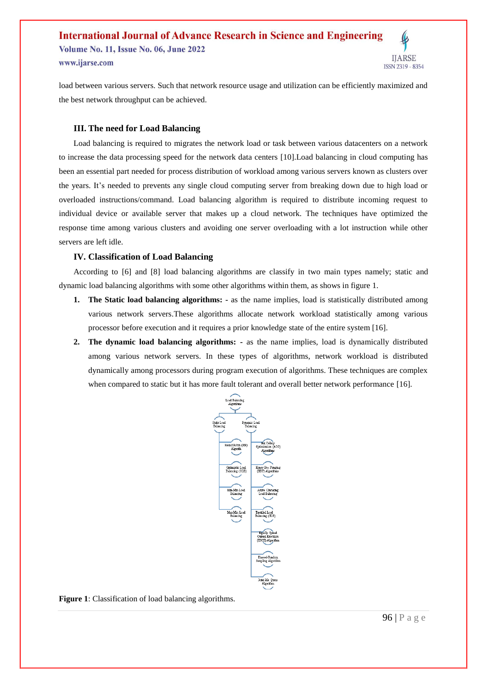load between various servers. Such that network resource usage and utilization can be efficiently maximized and the best network throughput can be achieved.

#### **III. The need for Load Balancing**

Load balancing is required to migrates the network load or task between various datacenters on a network to increase the data processing speed for the network data centers [10].Load balancing in cloud computing has been an essential part needed for process distribution of workload among various servers known as clusters over the years. It's needed to prevents any single cloud computing server from breaking down due to high load or overloaded instructions/command. Load balancing algorithm is required to distribute incoming request to individual device or available server that makes up a cloud network. The techniques have optimized the response time among various clusters and avoiding one server overloading with a lot instruction while other servers are left idle.

#### **IV. Classification of Load Balancing**

According to [6] and [8] load balancing algorithms are classify in two main types namely; static and dynamic load balancing algorithms with some other algorithms within them, as shows in figure 1.

- **1. The Static load balancing algorithms: -** as the name implies, load is statistically distributed among various network servers.These algorithms allocate network workload statistically among various processor before execution and it requires a prior knowledge state of the entire system [16].
- **2. The dynamic load balancing algorithms: -** as the name implies, load is dynamically distributed among various network servers. In these types of algorithms, network workload is distributed dynamically among processors during program execution of algorithms. These techniques are complex when compared to static but it has more fault tolerant and overall better network performance [16].



**Figure 1**: Classification of load balancing algorithms.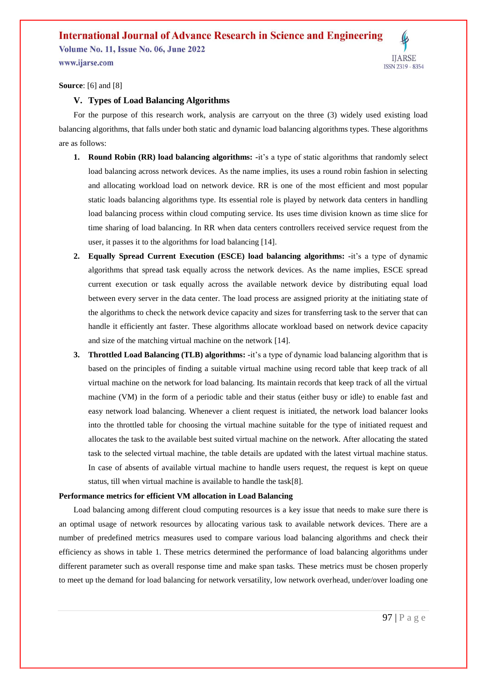**Volume No. 11, Issue No. 06, June 2022** www.ijarse.com



**Source**: [6] and [8]

#### **V. Types of Load Balancing Algorithms**

For the purpose of this research work, analysis are carryout on the three (3) widely used existing load balancing algorithms, that falls under both static and dynamic load balancing algorithms types. These algorithms are as follows:

- **1. Round Robin (RR) load balancing algorithms: -**it's a type of static algorithms that randomly select load balancing across network devices. As the name implies, its uses a round robin fashion in selecting and allocating workload load on network device. RR is one of the most efficient and most popular static loads balancing algorithms type. Its essential role is played by network data centers in handling load balancing process within cloud computing service. Its uses time division known as time slice for time sharing of load balancing. In RR when data centers controllers received service request from the user, it passes it to the algorithms for load balancing [14].
- **2. Equally Spread Current Execution (ESCE) load balancing algorithms: -**it's a type of dynamic algorithms that spread task equally across the network devices. As the name implies, ESCE spread current execution or task equally across the available network device by distributing equal load between every server in the data center. The load process are assigned priority at the initiating state of the algorithms to check the network device capacity and sizes for transferring task to the server that can handle it efficiently ant faster. These algorithms allocate workload based on network device capacity and size of the matching virtual machine on the network [14].
- **3. Throttled Load Balancing (TLB) algorithms: -**it's a type of dynamic load balancing algorithm that is based on the principles of finding a suitable virtual machine using record table that keep track of all virtual machine on the network for load balancing. Its maintain records that keep track of all the virtual machine (VM) in the form of a periodic table and their status (either busy or idle) to enable fast and easy network load balancing. Whenever a client request is initiated, the network load balancer looks into the throttled table for choosing the virtual machine suitable for the type of initiated request and allocates the task to the available best suited virtual machine on the network. After allocating the stated task to the selected virtual machine, the table details are updated with the latest virtual machine status. In case of absents of available virtual machine to handle users request, the request is kept on queue status, till when virtual machine is available to handle the task[8].

#### **Performance metrics for efficient VM allocation in Load Balancing**

Load balancing among different cloud computing resources is a key issue that needs to make sure there is an optimal usage of network resources by allocating various task to available network devices. There are a number of predefined metrics measures used to compare various load balancing algorithms and check their efficiency as shows in table 1. These metrics determined the performance of load balancing algorithms under different parameter such as overall response time and make span tasks. These metrics must be chosen properly to meet up the demand for load balancing for network versatility, low network overhead, under/over loading one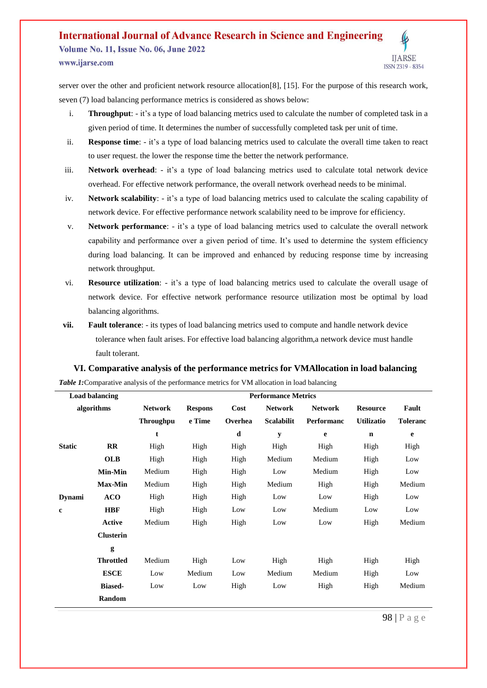**Volume No. 11, Issue No. 06, June 2022** www.ijarse.com

**IJARSE** ISSN 2319 - 8354

server over the other and proficient network resource allocation[8], [15]. For the purpose of this research work, seven (7) load balancing performance metrics is considered as shows below:

- i. **Throughput**: it's a type of load balancing metrics used to calculate the number of completed task in a given period of time. It determines the number of successfully completed task per unit of time.
- ii. **Response time**: it's a type of load balancing metrics used to calculate the overall time taken to react to user request. the lower the response time the better the network performance.
- iii. **Network overhead**: it's a type of load balancing metrics used to calculate total network device overhead. For effective network performance, the overall network overhead needs to be minimal.
- iv. **Network scalability**: it's a type of load balancing metrics used to calculate the scaling capability of network device. For effective performance network scalability need to be improve for efficiency.
- v. **Network performance**: it's a type of load balancing metrics used to calculate the overall network capability and performance over a given period of time. It's used to determine the system efficiency during load balancing. It can be improved and enhanced by reducing response time by increasing network throughput.
- vi. **Resource utilization**: it's a type of load balancing metrics used to calculate the overall usage of network device. For effective network performance resource utilization most be optimal by load balancing algorithms.
- **vii. Fault tolerance**: its types of load balancing metrics used to compute and handle network device tolerance when fault arises. For effective load balancing algorithm,a network device must handle fault tolerant.

#### **VI. Comparative analysis of the performance metrics for VMAllocation in load balancing**

*Table 1:* Comparative analysis of the performance metrics for VM allocation in load balancing

| <b>Load balancing</b> |                  | <b>Performance Metrics</b> |                |         |                   |                   |                   |                 |  |
|-----------------------|------------------|----------------------------|----------------|---------|-------------------|-------------------|-------------------|-----------------|--|
| algorithms            |                  | <b>Network</b>             | <b>Respons</b> | Cost    | <b>Network</b>    | <b>Network</b>    | <b>Resource</b>   | Fault           |  |
|                       |                  | <b>Throughpu</b>           | e Time         | Overhea | <b>Scalabilit</b> | <b>Performanc</b> | <b>Utilizatio</b> | <b>Toleranc</b> |  |
|                       |                  | t                          |                | d       | $\mathbf y$       | e                 | $\mathbf n$       | e               |  |
| <b>Static</b>         | $\mathbf{R}$     | High                       | High           | High    | High              | High              | High              | High            |  |
|                       | <b>OLB</b>       | High                       | High           | High    | Medium            | Medium            | High              | Low             |  |
|                       | <b>Min-Min</b>   | Medium                     | High           | High    | Low               | Medium            | High              | Low             |  |
|                       | <b>Max-Min</b>   | Medium                     | High           | High    | Medium            | High              | High              | Medium          |  |
| <b>Dynami</b>         | <b>ACO</b>       | High                       | High           | High    | Low               | Low               | High              | Low             |  |
| $\mathbf{c}$          | <b>HBF</b>       | High                       | High           | Low     | Low               | Medium            | Low               | Low             |  |
|                       | Active           | Medium                     | High           | High    | Low               | Low               | High              | Medium          |  |
|                       | <b>Clusterin</b> |                            |                |         |                   |                   |                   |                 |  |
|                       | g                |                            |                |         |                   |                   |                   |                 |  |
|                       | <b>Throttled</b> | Medium                     | High           | Low     | High              | High              | High              | High            |  |
|                       | <b>ESCE</b>      | Low                        | Medium         | Low     | Medium            | Medium            | High              | Low             |  |
|                       | <b>Biased-</b>   | Low                        | Low            | High    | Low               | High              | High              | Medium          |  |
|                       | Random           |                            |                |         |                   |                   |                   |                 |  |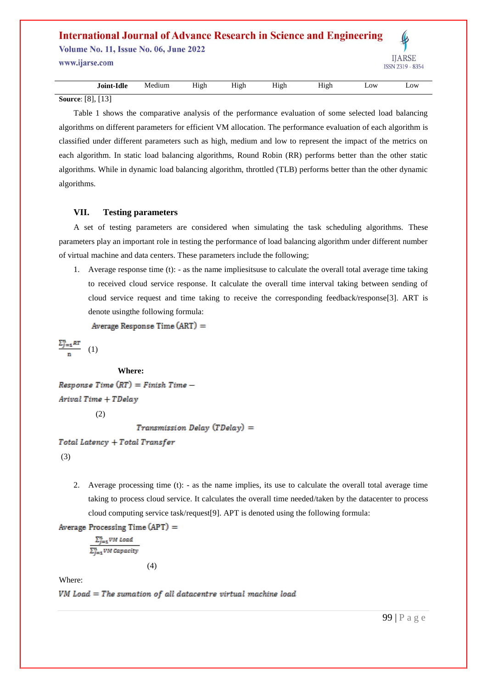## **International Journal of Advance Research in Science and Engineering Volume No. 11, Issue No. 06, June 2022 IJARSE** www.ijarse.com ISSN 2319 - 8354 **Joint-Idle** Medium High High High High Low Low

**Source**: [8], [13]

Table 1 shows the comparative analysis of the performance evaluation of some selected load balancing algorithms on different parameters for efficient VM allocation. The performance evaluation of each algorithm is classified under different parameters such as high, medium and low to represent the impact of the metrics on each algorithm. In static load balancing algorithms, Round Robin (RR) performs better than the other static algorithms. While in dynamic load balancing algorithm, throttled (TLB) performs better than the other dynamic algorithms.

#### **VII. Testing parameters**

A set of testing parameters are considered when simulating the task scheduling algorithms. These parameters play an important role in testing the performance of load balancing algorithm under different number of virtual machine and data centers. These parameters include the following;

1. Average response time (t): - as the name impliesitsuse to calculate the overall total average time taking to received cloud service response. It calculate the overall time interval taking between sending of cloud service request and time taking to receive the corresponding feedback/response[3]. ART is denote usingthe following formula:

Average Response Time (ART) =

 $\frac{\sum_{j=1}^{n}RT}{n}$  (1)

#### **Where:**

 $Response Time (RT) = Finish Time -$ Arival Time + TDelay

(2)

```
Transmission Delay (TDelay) =
```
Total Latency + Total Transfer

(3)

2. Average processing time (t): - as the name implies, its use to calculate the overall total average time taking to process cloud service. It calculates the overall time needed/taken by the datacenter to process cloud computing service task/request[9]. APT is denoted using the following formula:

Average Processing Time  $(APT)$  =

 $\sum_{j=1}^n VM$  Load  $\sum_{i=1}^{n} VM$  Capacity

(4)

Where:

VM Load = The sumation of all datacentre virtual machine load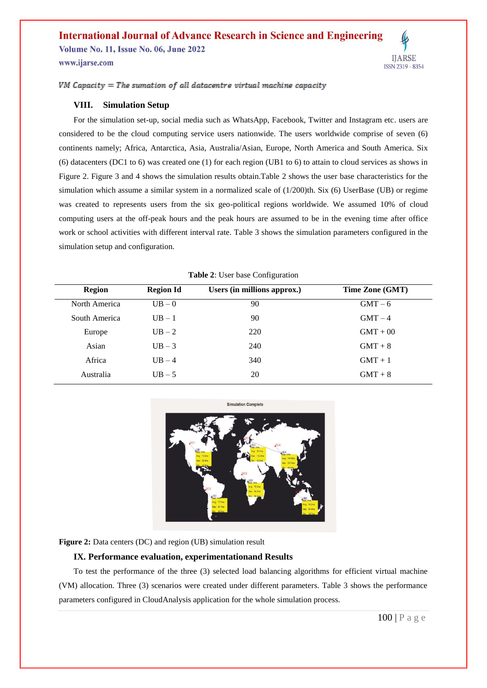**Volume No. 11, Issue No. 06, June 2022** 

www.ijarse.com

 $VM$  Capacity = The sumation of all datacentre virtual machine capacity

#### **VIII. Simulation Setup**

For the simulation set-up, social media such as WhatsApp, Facebook, Twitter and Instagram etc. users are considered to be the cloud computing service users nationwide. The users worldwide comprise of seven (6) continents namely; Africa, Antarctica, Asia, Australia/Asian, Europe, North America and South America. Six (6) datacenters (DC1 to 6) was created one (1) for each region (UB1 to 6) to attain to cloud services as shows in Figure 2. Figure 3 and 4 shows the simulation results obtain.Table 2 shows the user base characteristics for the simulation which assume a similar system in a normalized scale of (1/200)th. Six (6) UserBase (UB) or regime was created to represents users from the six geo-political regions worldwide. We assumed 10% of cloud computing users at the off-peak hours and the peak hours are assumed to be in the evening time after office work or school activities with different interval rate. Table 3 shows the simulation parameters configured in the simulation setup and configuration.

| <b>Region</b> | <b>Region Id</b> | Users (in millions approx.) | Time Zone (GMT) |
|---------------|------------------|-----------------------------|-----------------|
| North America | $UB - 0$         | 90                          | $GMT - 6$       |
| South America | $UB - 1$         | 90                          | $GMT-4$         |
| Europe        | $UB - 2$         | 220                         | $GMT + 00$      |
| Asian         | $UB-3$           | 240                         | $GMT + 8$       |
| Africa        | $UB - 4$         | 340                         | $GMT + 1$       |
| Australia     | $UB - 5$         | 20                          | $GMT + 8$       |

**Table 2**: User base Configuration



**Figure 2:** Data centers (DC) and region (UB) simulation result

#### **IX. Performance evaluation, experimentationand Results**

To test the performance of the three (3) selected load balancing algorithms for efficient virtual machine (VM) allocation. Three (3) scenarios were created under different parameters. Table 3 shows the performance parameters configured in CloudAnalysis application for the whole simulation process.

**IJARSE** 

ISSN 2319 - 8354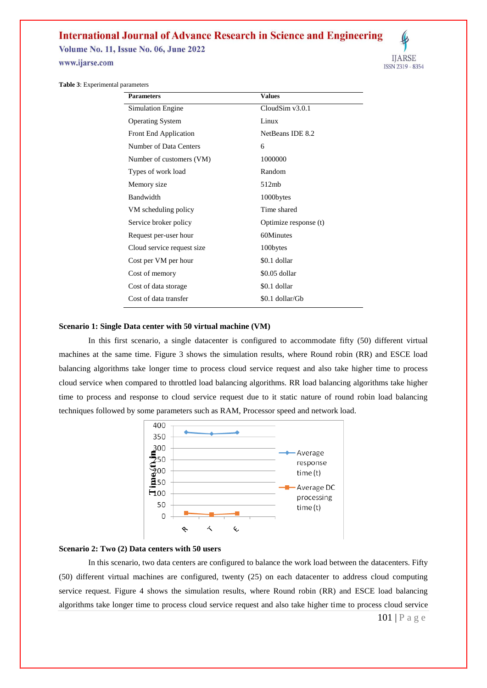**Volume No. 11, Issue No. 06, June 2022** 

www.ijarse.com



**Table 3**: Experimental parameters

| <b>Parameters</b>          | <b>Values</b>         |
|----------------------------|-----------------------|
| <b>Simulation Engine</b>   | CloudSim $v3.0.1$     |
| <b>Operating System</b>    | Linux                 |
| Front End Application      | NetBeans IDE 8.2      |
| Number of Data Centers     | 6                     |
| Number of customers (VM)   | 1000000               |
| Types of work load         | Random                |
| Memory size                | 512mb                 |
| Bandwidth                  | 1000bytes             |
| VM scheduling policy       | Time shared           |
| Service broker policy      | Optimize response (t) |
| Request per-user hour      | 60Minutes             |
| Cloud service request size | 100bytes              |
| Cost per VM per hour       | \$0.1 dollar          |
| Cost of memory             | \$0.05 dollar         |
| Cost of data storage       | \$0.1 dollar          |
| Cost of data transfer      | \$0.1 dollar/Gb       |

#### **Scenario 1: Single Data center with 50 virtual machine (VM)**

In this first scenario, a single datacenter is configured to accommodate fifty (50) different virtual machines at the same time. Figure 3 shows the simulation results, where Round robin (RR) and ESCE load balancing algorithms take longer time to process cloud service request and also take higher time to process cloud service when compared to throttled load balancing algorithms. RR load balancing algorithms take higher time to process and response to cloud service request due to it static nature of round robin load balancing techniques followed by some parameters such as RAM, Processor speed and network load.



#### **Scenario 2: Two (2) Data centers with 50 users**

In this scenario, two data centers are configured to balance the work load between the datacenters. Fifty (50) different virtual machines are configured, twenty (25) on each datacenter to address cloud computing service request. Figure 4 shows the simulation results, where Round robin (RR) and ESCE load balancing algorithms take longer time to process cloud service request and also take higher time to process cloud service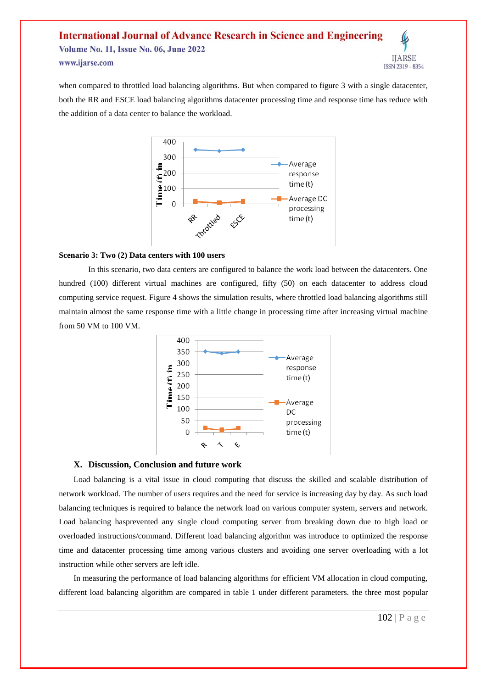when compared to throttled load balancing algorithms. But when compared to figure 3 with a single datacenter, both the RR and ESCE load balancing algorithms datacenter processing time and response time has reduce with the addition of a data center to balance the workload.



#### **Scenario 3: Two (2) Data centers with 100 users**

In this scenario, two data centers are configured to balance the work load between the datacenters. One hundred (100) different virtual machines are configured, fifty (50) on each datacenter to address cloud computing service request. Figure 4 shows the simulation results, where throttled load balancing algorithms still maintain almost the same response time with a little change in processing time after increasing virtual machine from 50 VM to 100 VM.



#### **X. Discussion, Conclusion and future work**

Load balancing is a vital issue in cloud computing that discuss the skilled and scalable distribution of network workload. The number of users requires and the need for service is increasing day by day. As such load balancing techniques is required to balance the network load on various computer system, servers and network. Load balancing hasprevented any single cloud computing server from breaking down due to high load or overloaded instructions/command. Different load balancing algorithm was introduce to optimized the response time and datacenter processing time among various clusters and avoiding one server overloading with a lot instruction while other servers are left idle.

In measuring the performance of load balancing algorithms for efficient VM allocation in cloud computing, different load balancing algorithm are compared in table 1 under different parameters. the three most popular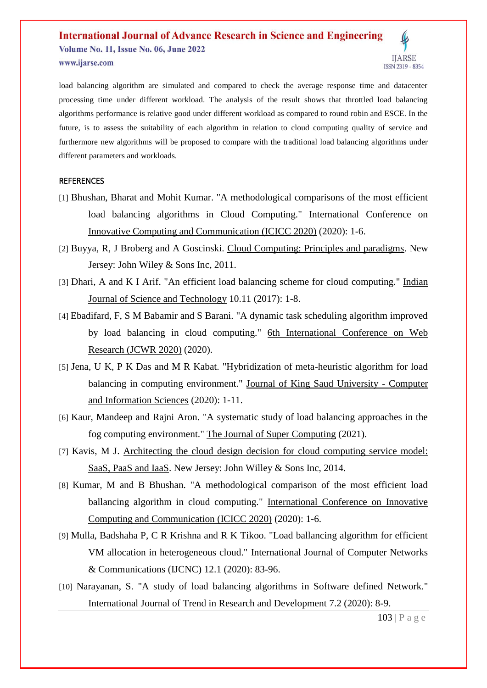

#### **REFERENCES**

- [1] Bhushan, Bharat and Mohit Kumar. "A methodological comparisons of the most efficient load balancing algorithms in Cloud Computing." International Conference on Innovative Computing and Communication (ICICC 2020) (2020): 1-6.
- [2] Buyya, R, J Broberg and A Goscinski. Cloud Computing: Principles and paradigms. New Jersey: John Wiley & Sons Inc, 2011.
- [3] Dhari, A and K I Arif. "An efficient load balancing scheme for cloud computing." Indian Journal of Science and Technology 10.11 (2017): 1-8.
- [4] Ebadifard, F, S M Babamir and S Barani. "A dynamic task scheduling algorithm improved by load balancing in cloud computing." 6th International Conference on Web Research (JCWR 2020) (2020).
- [5] Jena, U K, P K Das and M R Kabat. "Hybridization of meta-heuristic algorithm for load balancing in computing environment." Journal of King Saud University - Computer and Information Sciences (2020): 1-11.
- [6] Kaur, Mandeep and Rajni Aron. "A systematic study of load balancing approaches in the fog computing environment." The Journal of Super Computing (2021).
- [7] Kavis, M J. Architecting the cloud design decision for cloud computing service model: SaaS, PaaS and IaaS. New Jersey: John Willey & Sons Inc, 2014.
- [8] Kumar, M and B Bhushan. "A methodological comparison of the most efficient load ballancing algorithm in cloud computing." International Conference on Innovative Computing and Communication (ICICC 2020) (2020): 1-6.
- [9] Mulla, Badshaha P, C R Krishna and R K Tikoo. "Load ballancing algorithm for efficient VM allocation in heterogeneous cloud." International Journal of Computer Networks & Communications (IJCNC) 12.1 (2020): 83-96.
- [10] Narayanan, S. "A study of load balancing algorithms in Software defined Network." International Journal of Trend in Research and Development 7.2 (2020): 8-9.